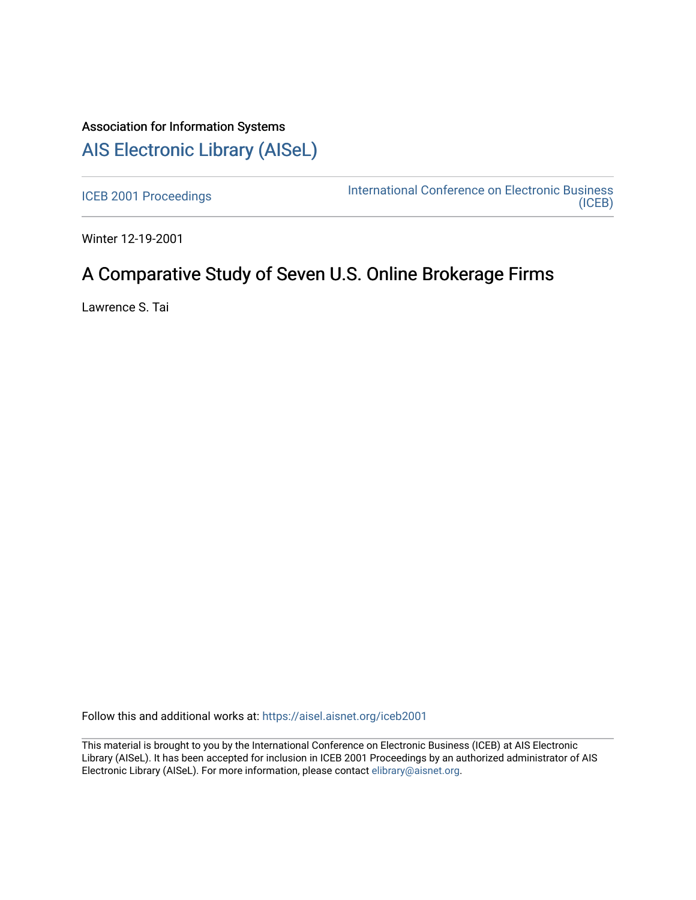# Association for Information Systems [AIS Electronic Library \(AISeL\)](https://aisel.aisnet.org/)

[ICEB 2001 Proceedings](https://aisel.aisnet.org/iceb2001) **International Conference on Electronic Business** [\(ICEB\)](https://aisel.aisnet.org/iceb) 

Winter 12-19-2001

# A Comparative Study of Seven U.S. Online Brokerage Firms

Lawrence S. Tai

Follow this and additional works at: [https://aisel.aisnet.org/iceb2001](https://aisel.aisnet.org/iceb2001?utm_source=aisel.aisnet.org%2Ficeb2001%2F43&utm_medium=PDF&utm_campaign=PDFCoverPages)

This material is brought to you by the International Conference on Electronic Business (ICEB) at AIS Electronic Library (AISeL). It has been accepted for inclusion in ICEB 2001 Proceedings by an authorized administrator of AIS Electronic Library (AISeL). For more information, please contact [elibrary@aisnet.org.](mailto:elibrary@aisnet.org%3E)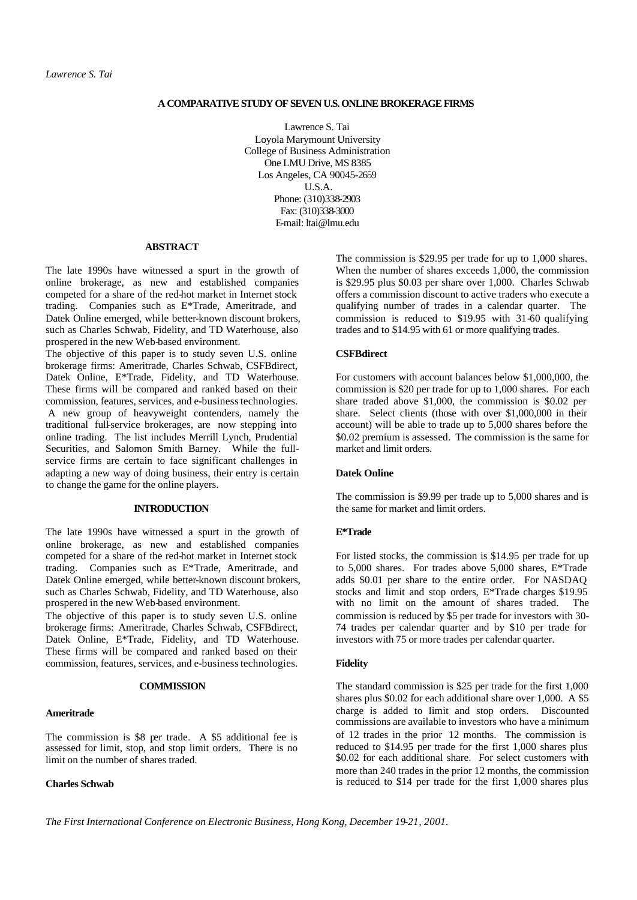#### **A COMPARATIVE STUDY OF SEVEN U.S. ONLINE BROKERAGE FIRMS**

Lawrence S. Tai Loyola Marymount University College of Business Administration One LMU Drive, MS 8385 Los Angeles, CA 90045-2659 U.S.A. Phone: (310)338-2903 Fax: (310)338-3000 E-mail: ltai@lmu.edu

#### **ABSTRACT**

The late 1990s have witnessed a spurt in the growth of online brokerage, as new and established companies competed for a share of the red-hot market in Internet stock trading. Companies such as E\*Trade, Ameritrade, and Datek Online emerged, while better-known discount brokers, such as Charles Schwab, Fidelity, and TD Waterhouse, also prospered in the new Web-based environment.

The objective of this paper is to study seven U.S. online brokerage firms: Ameritrade, Charles Schwab, CSFBdirect, Datek Online, E\*Trade, Fidelity, and TD Waterhouse. These firms will be compared and ranked based on their commission, features, services, and e-business technologies. A new group of heavyweight contenders, namely the traditional full-service brokerages, are now stepping into online trading. The list includes Merrill Lynch, Prudential Securities, and Salomon Smith Barney. While the fullservice firms are certain to face significant challenges in adapting a new way of doing business, their entry is certain to change the game for the online players.

# **INTRODUCTION**

The late 1990s have witnessed a spurt in the growth of online brokerage, as new and established companies competed for a share of the red-hot market in Internet stock trading. Companies such as E\*Trade, Ameritrade, and Datek Online emerged, while better-known discount brokers, such as Charles Schwab, Fidelity, and TD Waterhouse, also prospered in the new Web-based environment.

The objective of this paper is to study seven U.S. online brokerage firms: Ameritrade, Charles Schwab, CSFBdirect, Datek Online, E\*Trade, Fidelity, and TD Waterhouse. These firms will be compared and ranked based on their commission, features, services, and e-business technologies.

#### **COMMISSION**

#### **Ameritrade**

The commission is \$8 per trade. A \$5 additional fee is assessed for limit, stop, and stop limit orders. There is no limit on the number of shares traded.

#### **Charles Schwab**

The commission is \$29.95 per trade for up to 1,000 shares. When the number of shares exceeds 1,000, the commission is \$29.95 plus \$0.03 per share over 1,000. Charles Schwab offers a commission discount to active traders who execute a qualifying number of trades in a calendar quarter. The commission is reduced to \$19.95 with 31-60 qualifying trades and to \$14.95 with 61 or more qualifying trades.

#### **CSFBdirect**

For customers with account balances below \$1,000,000, the commission is \$20 per trade for up to 1,000 shares. For each share traded above \$1,000, the commission is \$0.02 per share. Select clients (those with over \$1,000,000 in their account) will be able to trade up to 5,000 shares before the \$0.02 premium is assessed. The commission is the same for market and limit orders.

#### **Datek Online**

The commission is \$9.99 per trade up to 5,000 shares and is the same for market and limit orders.

#### **E\*Trade**

For listed stocks, the commission is \$14.95 per trade for up to 5,000 shares. For trades above 5,000 shares, E\*Trade adds \$0.01 per share to the entire order. For NASDAQ stocks and limit and stop orders, E\*Trade charges \$19.95 with no limit on the amount of shares traded. The commission is reduced by \$5 per trade for investors with 30- 74 trades per calendar quarter and by \$10 per trade for investors with 75 or more trades per calendar quarter.

#### **Fidelity**

The standard commission is \$25 per trade for the first 1,000 shares plus \$0.02 for each additional share over 1,000. A \$5 charge is added to limit and stop orders. Discounted commissions are available to investors who have a minimum of 12 trades in the prior 12 months. The commission is reduced to \$14.95 per trade for the first 1,000 shares plus \$0.02 for each additional share. For select customers with more than 240 trades in the prior 12 months, the commission is reduced to \$14 per trade for the first 1,000 shares plus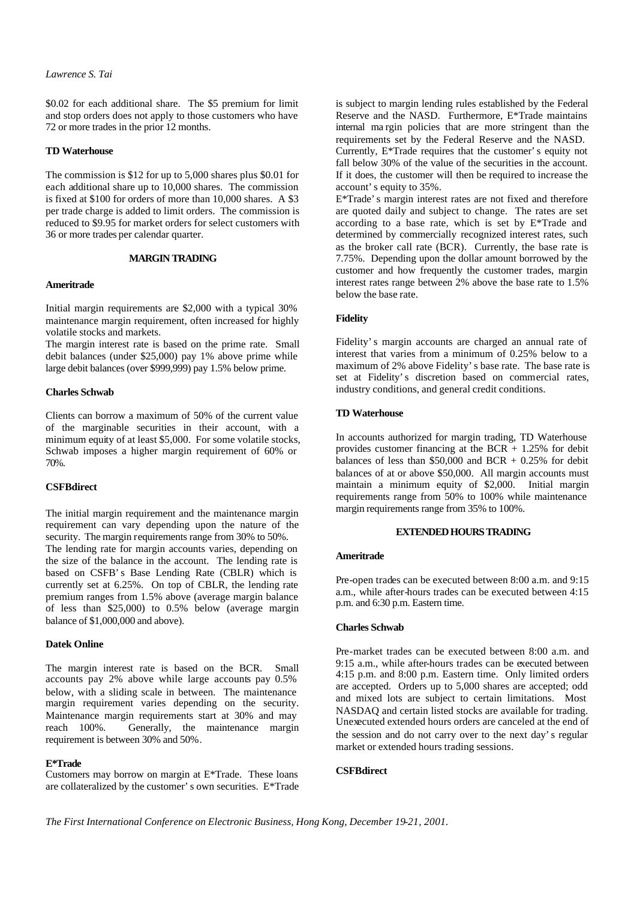#### *Lawrence S. Tai*

\$0.02 for each additional share. The \$5 premium for limit and stop orders does not apply to those customers who have 72 or more trades in the prior 12 months.

#### **TD Waterhouse**

The commission is \$12 for up to 5,000 shares plus \$0.01 for each additional share up to 10,000 shares. The commission is fixed at \$100 for orders of more than 10,000 shares. A \$3 per trade charge is added to limit orders. The commission is reduced to \$9.95 for market orders for select customers with 36 or more trades per calendar quarter.

#### **MARGIN TRADING**

#### **Ameritrade**

Initial margin requirements are \$2,000 with a typical 30% maintenance margin requirement, often increased for highly volatile stocks and markets.

The margin interest rate is based on the prime rate. Small debit balances (under \$25,000) pay 1% above prime while large debit balances (over \$999,999) pay 1.5% below prime.

## **Charles Schwab**

Clients can borrow a maximum of 50% of the current value of the marginable securities in their account, with a minimum equity of at least \$5,000. For some volatile stocks, Schwab imposes a higher margin requirement of 60% or 70%.

## **CSFBdirect**

The initial margin requirement and the maintenance margin requirement can vary depending upon the nature of the security. The margin requirements range from 30% to 50%. The lending rate for margin accounts varies, depending on the size of the balance in the account. The lending rate is based on CSFB's Base Lending Rate (CBLR) which is currently set at 6.25%. On top of CBLR, the lending rate premium ranges from 1.5% above (average margin balance of less than \$25,000) to 0.5% below (average margin balance of \$1,000,000 and above).

#### **Datek Online**

The margin interest rate is based on the BCR. Small accounts pay 2% above while large accounts pay 0.5% below, with a sliding scale in between. The maintenance margin requirement varies depending on the security. Maintenance margin requirements start at 30% and may reach 100%. Generally, the maintenance margin requirement is between 30% and 50%.

#### **E\*Trade**

Customers may borrow on margin at E\*Trade. These loans are collateralized by the customer's own securities. E\*Trade is subject to margin lending rules established by the Federal Reserve and the NASD. Furthermore, E\*Trade maintains internal ma rgin policies that are more stringent than the requirements set by the Federal Reserve and the NASD. Currently, E\*Trade requires that the customer's equity not fall below 30% of the value of the securities in the account. If it does, the customer will then be required to increase the account's equity to 35%.

E\*Trade's margin interest rates are not fixed and therefore are quoted daily and subject to change. The rates are set according to a base rate, which is set by E\*Trade and determined by commercially recognized interest rates, such as the broker call rate (BCR). Currently, the base rate is 7.75%. Depending upon the dollar amount borrowed by the customer and how frequently the customer trades, margin interest rates range between 2% above the base rate to 1.5% below the base rate.

#### **Fidelity**

Fidelity's margin accounts are charged an annual rate of interest that varies from a minimum of 0.25% below to a maximum of 2% above Fidelity's base rate. The base rate is set at Fidelity's discretion based on commercial rates, industry conditions, and general credit conditions.

#### **TD Waterhouse**

In accounts authorized for margin trading, TD Waterhouse provides customer financing at the BCR  $+$  1.25% for debit balances of less than  $$50,000$  and BCR + 0.25% for debit balances of at or above \$50,000. All margin accounts must maintain a minimum equity of \$2,000. Initial margin requirements range from 50% to 100% while maintenance margin requirements range from 35% to 100%.

#### **EXTENDED HOURS TRADING**

#### **Ameritrade**

Pre-open trades can be executed between 8:00 a.m. and 9:15 a.m., while after-hours trades can be executed between 4:15 p.m. and 6:30 p.m. Eastern time.

#### **Charles Schwab**

Pre-market trades can be executed between 8:00 a.m. and 9:15 a.m., while after-hours trades can be executed between 4:15 p.m. and 8:00 p.m. Eastern time. Only limited orders are accepted. Orders up to 5,000 shares are accepted; odd and mixed lots are subject to certain limitations. Most NASDAQ and certain listed stocks are available for trading. Unexecuted extended hours orders are canceled at the end of the session and do not carry over to the next day's regular market or extended hours trading sessions.

## **CSFBdirect**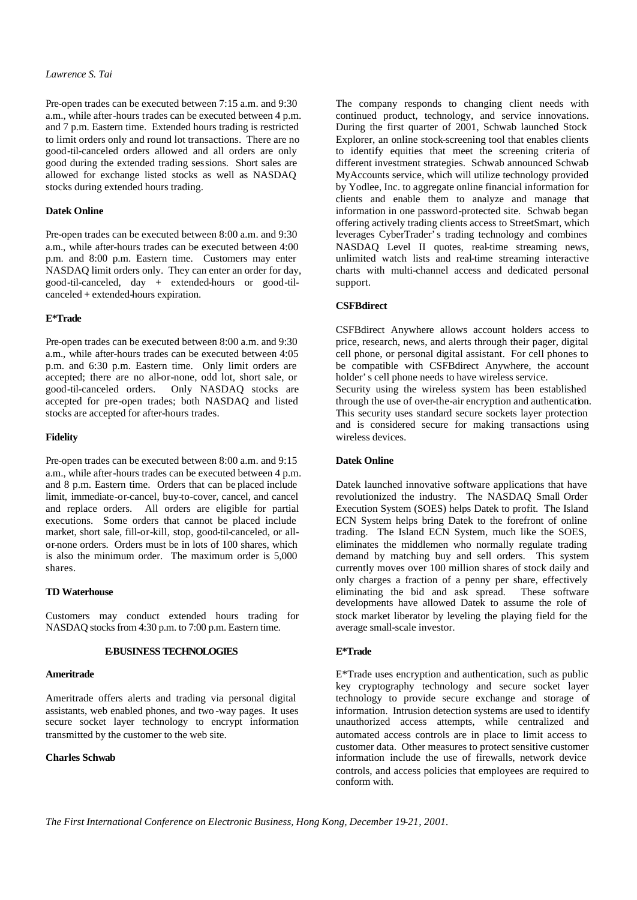#### *Lawrence S. Tai*

Pre-open trades can be executed between 7:15 a.m. and 9:30 a.m., while after-hours trades can be executed between 4 p.m. and 7 p.m. Eastern time. Extended hours trading is restricted to limit orders only and round lot transactions. There are no good-til-canceled orders allowed and all orders are only good during the extended trading sessions. Short sales are allowed for exchange listed stocks as well as NASDAQ stocks during extended hours trading.

#### **Datek Online**

Pre-open trades can be executed between 8:00 a.m. and 9:30 a.m., while after-hours trades can be executed between 4:00 p.m. and 8:00 p.m. Eastern time. Customers may enter NASDAQ limit orders only. They can enter an order for day, good-til-canceled, day + extended-hours or good-tilcanceled + extended-hours expiration.

#### **E\*Trade**

Pre-open trades can be executed between 8:00 a.m. and 9:30 a.m., while after-hours trades can be executed between 4:05 p.m. and 6:30 p.m. Eastern time. Only limit orders are accepted; there are no all-or-none, odd lot, short sale, or good-til-canceled orders. Only NASDAQ stocks are accepted for pre-open trades; both NASDAQ and listed stocks are accepted for after-hours trades.

#### **Fidelity**

Pre-open trades can be executed between 8:00 a.m. and 9:15 a.m., while after-hours trades can be executed between 4 p.m. and 8 p.m. Eastern time. Orders that can be placed include limit, immediate-or-cancel, buy-to-cover, cancel, and cancel and replace orders. All orders are eligible for partial executions. Some orders that cannot be placed include market, short sale, fill-or-kill, stop, good-til-canceled, or allor-none orders. Orders must be in lots of 100 shares, which is also the minimum order. The maximum order is 5,000 shares.

#### **TD Waterhouse**

Customers may conduct extended hours trading for NASDAQ stocks from 4:30 p.m. to 7:00 p.m. Eastern time.

#### **E-BUSINESS TECHNOLOGIES**

#### **Ameritrade**

Ameritrade offers alerts and trading via personal digital assistants, web enabled phones, and two -way pages. It uses secure socket layer technology to encrypt information transmitted by the customer to the web site.

## **Charles Schwab**

The company responds to changing client needs with continued product, technology, and service innovations. During the first quarter of 2001, Schwab launched Stock Explorer, an online stock-screening tool that enables clients to identify equities that meet the screening criteria of different investment strategies. Schwab announced Schwab MyAccounts service, which will utilize technology provided by Yodlee, Inc. to aggregate online financial information for clients and enable them to analyze and manage that information in one password-protected site. Schwab began offering actively trading clients access to StreetSmart, which leverages CyberTrader's trading technology and combines NASDAQ Level II quotes, real-time streaming news, unlimited watch lists and real-time streaming interactive charts with multi-channel access and dedicated personal support.

#### **CSFBdirect**

CSFBdirect Anywhere allows account holders access to price, research, news, and alerts through their pager, digital cell phone, or personal digital assistant. For cell phones to be compatible with CSFBdirect Anywhere, the account holder's cell phone needs to have wireless service.

Security using the wireless system has been established through the use of over-the-air encryption and authentication. This security uses standard secure sockets layer protection and is considered secure for making transactions using wireless devices.

## **Datek Online**

Datek launched innovative software applications that have revolutionized the industry. The NASDAQ Small Order Execution System (SOES) helps Datek to profit. The Island ECN System helps bring Datek to the forefront of online trading. The Island ECN System, much like the SOES, eliminates the middlemen who normally regulate trading demand by matching buy and sell orders. This system currently moves over 100 million shares of stock daily and only charges a fraction of a penny per share, effectively eliminating the bid and ask spread. These software developments have allowed Datek to assume the role of stock market liberator by leveling the playing field for the average small-scale investor.

## **E\*Trade**

E\*Trade uses encryption and authentication, such as public key cryptography technology and secure socket layer technology to provide secure exchange and storage of information. Intrusion detection systems are used to identify unauthorized access attempts, while centralized and automated access controls are in place to limit access to customer data. Other measures to protect sensitive customer information include the use of firewalls, network device controls, and access policies that employees are required to conform with.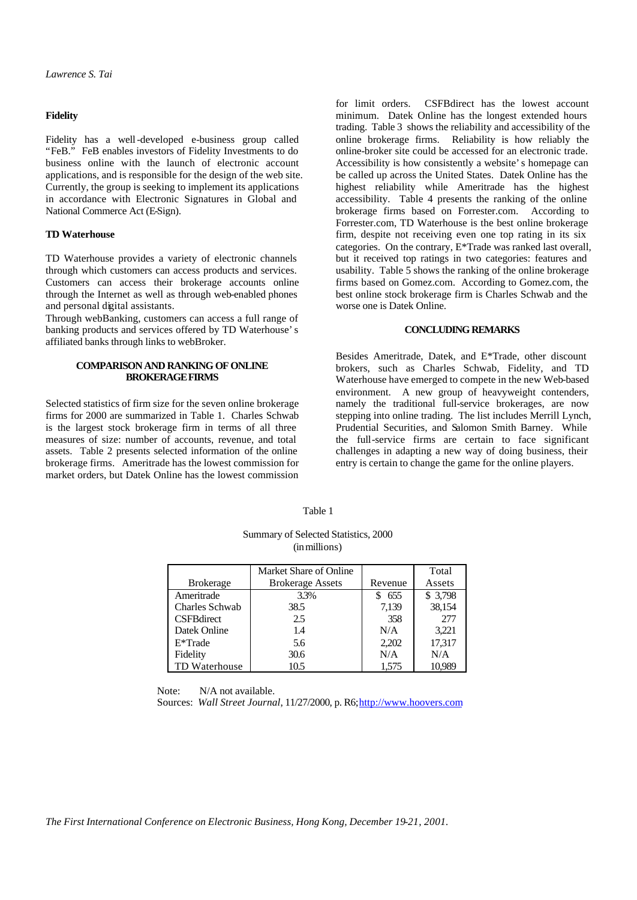#### **Fidelity**

Fidelity has a well-developed e-business group called "FeB." FeB enables investors of Fidelity Investments to do business online with the launch of electronic account applications, and is responsible for the design of the web site. Currently, the group is seeking to implement its applications in accordance with Electronic Signatures in Global and National Commerce Act (E-Sign).

#### **TD Waterhouse**

TD Waterhouse provides a variety of electronic channels through which customers can access products and services. Customers can access their brokerage accounts online through the Internet as well as through web-enabled phones and personal digital assistants.

Through webBanking, customers can access a full range of banking products and services offered by TD Waterhouse's affiliated banks through links to webBroker.

#### **COMPARISON AND RANKING OF ONLINE BROKERAGE FIRMS**

Selected statistics of firm size for the seven online brokerage firms for 2000 are summarized in Table 1. Charles Schwab is the largest stock brokerage firm in terms of all three measures of size: number of accounts, revenue, and total assets. Table 2 presents selected information of the online brokerage firms. Ameritrade has the lowest commission for market orders, but Datek Online has the lowest commission

for limit orders. CSFBdirect has the lowest account minimum. Datek Online has the longest extended hours trading. Table 3 shows the reliability and accessibility of the online brokerage firms. Reliability is how reliably the online-broker site could be accessed for an electronic trade. Accessibility is how consistently a website's homepage can be called up across the United States. Datek Online has the highest reliability while Ameritrade has the highest accessibility. Table 4 presents the ranking of the online brokerage firms based on Forrester.com. According to Forrester.com, TD Waterhouse is the best online brokerage firm, despite not receiving even one top rating in its six categories. On the contrary, E\*Trade was ranked last overall, but it received top ratings in two categories: features and usability. Table 5 shows the ranking of the online brokerage firms based on Gomez.com. According to Gomez.com, the best online stock brokerage firm is Charles Schwab and the worse one is Datek Online.

#### **CONCLUDING REMARKS**

Besides Ameritrade, Datek, and E\*Trade, other discount brokers, such as Charles Schwab, Fidelity, and TD Waterhouse have emerged to compete in the new Web-based environment. A new group of heavyweight contenders, namely the traditional full-service brokerages, are now stepping into online trading. The list includes Merrill Lynch, Prudential Securities, and Salomon Smith Barney. While the full-service firms are certain to face significant challenges in adapting a new way of doing business, their entry is certain to change the game for the online players.

| Summary of Selected Statistics, 2000<br>(in millions) |                         |         |          |  |  |  |
|-------------------------------------------------------|-------------------------|---------|----------|--|--|--|
|                                                       | Market Share of Online  |         | Total    |  |  |  |
| <b>Brokerage</b>                                      | <b>Brokerage Assets</b> | Revenue | Assets   |  |  |  |
| Ameritrade                                            | 3.3%                    | 655     | \$ 3,798 |  |  |  |
| Charles Schwab                                        | 38.5                    | 7,139   | 38,154   |  |  |  |
| <b>CSFBdirect</b>                                     | 2.5                     | 358     | 277      |  |  |  |
| Datek Online                                          | 1.4                     | N/A     | 3.221    |  |  |  |

E\*Trade 5.6 2,202 17,317 Fidelity 30.6 N/A N/A TD Waterhouse 10.5 10.5 1,575 10.989

Table 1

Summary of Selected Statistics, 2000

Note: N/A not available.

Sources: Wall Street Journal, 11/27/2000, p. R6; http://www.hoovers.com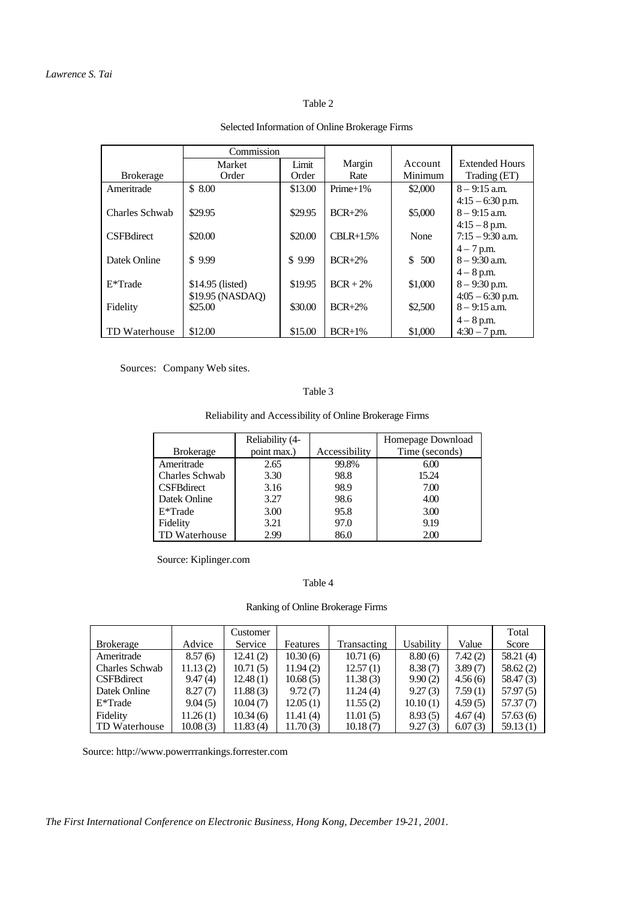# Table 2

|                   | Commission       |         |             |         |                       |
|-------------------|------------------|---------|-------------|---------|-----------------------|
|                   | Market           | Limit   | Margin      | Account | <b>Extended Hours</b> |
| <b>Brokerage</b>  | Order            | Order   | Rate        | Minimum | Trading (ET)          |
| Ameritrade        | \$8.00           | \$13.00 | $Prime+1\%$ | \$2,000 | $8 - 9:15$ a.m.       |
|                   |                  |         |             |         | $4:15 - 6:30$ p.m.    |
| Charles Schwab    | \$29.95          | \$29.95 | $BCR+2%$    | \$5,000 | $8 - 9:15$ a.m.       |
|                   |                  |         |             |         | $4:15 - 8$ p.m.       |
| <b>CSFBdirect</b> | \$20.00          | \$20.00 | $CBLR+1.5%$ | None    | $7:15 - 9:30$ a.m.    |
|                   |                  |         |             |         | $4 - 7$ p.m.          |
| Datek Online      | \$9.99           | \$9.99  | $BCR+2%$    | \$500   | $8 - 9:30$ a.m.       |
|                   |                  |         |             |         | $4 - 8$ p.m.          |
| $E^*$ Trade       | \$14.95 (listed) | \$19.95 | $BCR + 2\%$ | \$1,000 | $8 - 9:30$ p.m.       |
|                   | \$19.95 (NASDAQ) |         |             |         | $4:05 - 6:30$ p.m.    |
| Fidelity          | \$25.00          | \$30.00 | $BCR+2%$    | \$2,500 | $8 - 9:15$ a.m.       |
|                   |                  |         |             |         | $4 - 8$ p.m.          |
| TD Waterhouse     | \$12.00          | \$15.00 | $BCR+1%$    | \$1,000 | $4:30 - 7$ p.m.       |

# Selected Information of Online Brokerage Firms

Sources: Company Web sites.

# Table 3

Reliability and Accessibility of Online Brokerage Firms

|                   | Reliability (4- |               | Homepage Download |
|-------------------|-----------------|---------------|-------------------|
| <b>Brokerage</b>  | point max.)     | Accessibility | Time (seconds)    |
| Ameritrade        | 2.65            | 99.8%         | 6.00              |
| Charles Schwab    | 3.30            | 98.8          | 15.24             |
| <b>CSFBdirect</b> | 3.16            | 98.9          | 7.00              |
| Datek Online      | 3.27            | 98.6          | 4.00              |
| $E^*$ Trade       | 3.00            | 95.8          | 3.00              |
| Fidelity          | 3.21            | 97.0          | 9.19              |
| TD Waterhouse     | 2.99            | 86.0          | 2.00              |

Source: Kiplinger.com

# Table 4

# Ranking of Online Brokerage Firms

|                       |          | Customer |          |             |           |         | Total     |
|-----------------------|----------|----------|----------|-------------|-----------|---------|-----------|
| <b>Brokerage</b>      | Advice   | Service  | Features | Transacting | Usabilitv | Value   | Score     |
| Ameritrade            | 8.57(6)  | 12.41(2) | 10.30(6) | 10.71(6)    | 8.80(6)   | 7.42(2) | 58.21(4)  |
| <b>Charles Schwab</b> | 11.13(2) | 10.71(5) | 11.94(2) | 12.57(1)    | 8.38(7)   | 3.89(7) | 58.62(2)  |
| <b>CSFBdirect</b>     | 9.47(4)  | 12.48(1) | 10.68(5) | 11.38(3)    | 9.90(2)   | 4.56(6) | 58.47 (3) |
| Datek Online          | 8.27(7)  | 11.88(3) | 9.72(7)  | 11.24(4)    | 9.27(3)   | 7.59(1) | 57.97(5)  |
| E*Trade               | 9.04(5)  | 10.04(7) | 12.05(1) | 11.55(2)    | 10.10(1)  | 4.59(5) | 57.37(7)  |
| Fidelity              | 11.26(1) | 10.34(6) | 11.41(4) | 11.01(5)    | 8.93(5)   | 4.67(4) | 57.63(6)  |
| TD Waterhouse         | 10.08(3) | 11.83(4) | 11.70(3) | 10.18(7)    | 9.27(3)   | 6.07(3) | 59.13(1)  |

Source: http://www.powerrrankings.forrester.com